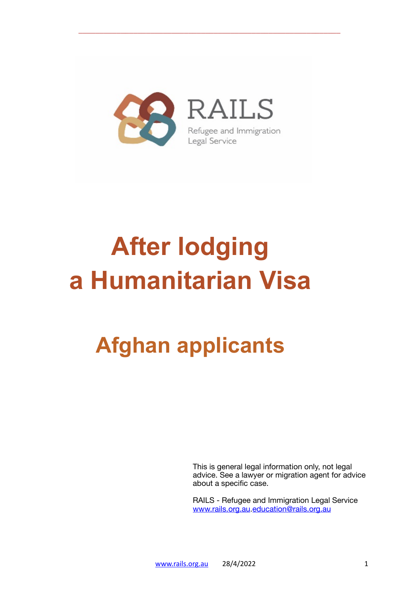

\_\_\_\_\_\_\_\_\_\_\_\_\_\_\_\_\_\_\_\_\_\_\_\_\_\_\_\_\_\_\_\_\_\_\_\_\_\_\_\_\_\_\_\_\_\_\_\_\_\_\_\_\_\_\_\_\_\_\_\_\_\_

# **After lodging a Humanitarian Visa**

## **Afghan applicants**

This is general legal information only, not legal advice. See a lawyer or migration agent for advice about a specific case.

RAILS - Refugee and Immigration Legal Service [www.rails.org.au](http://www.rails.org.au)[.education@rails.org.au](mailto:education@rails.org.au)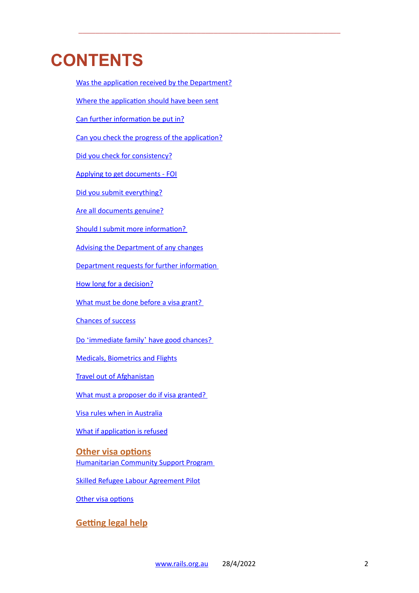## **CONTENTS**

[Where the application should have been sent](#page-2-1) [Can further information be put in?](#page-3-0) [Can you check the progress of the application?](#page-3-1) [Did you check for consistency?](#page-3-2) [Applying to get documents - FOI](#page-4-0) [Did you submit everything?](#page-5-0) [Are all documents genuine?](#page-6-0) [Should I submit more information?](#page-6-1)  [Advising the Department of any changes](#page-6-1) [Department requests for further information](#page-7-0)  [How long for a decision?](#page-7-1) [What must be done before a visa grant?](#page-7-2)  [Chances of success](#page-7-3) Do 'immediate family' [have good chances?](#page-8-0) [Medicals, Biometrics and Flights](#page-9-0) [Travel out of Afghanistan](#page-9-1) [What must a proposer do if visa granted?](#page-9-2)  [Visa rules when in Australia](#page-10-0) [What if application is refused](#page-10-1) **[Other visa options](#page-11-0)** [Humanitarian Community Support Program](#page-11-1)  [Skilled Refugee Labour Agreement Pilot](#page-11-2) **[Other visa options](#page-11-0) [Getting legal help](#page-12-0)**

[Was the application received by the Department?](#page-2-0)

\_\_\_\_\_\_\_\_\_\_\_\_\_\_\_\_\_\_\_\_\_\_\_\_\_\_\_\_\_\_\_\_\_\_\_\_\_\_\_\_\_\_\_\_\_\_\_\_\_\_\_\_\_\_\_\_\_\_\_\_\_\_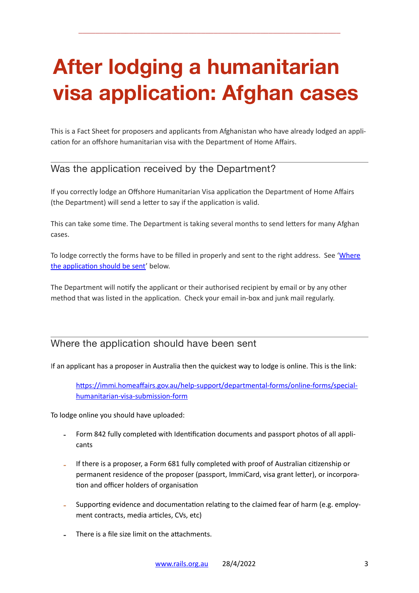## **After lodging a humanitarian visa application: Afghan cases**

\_\_\_\_\_\_\_\_\_\_\_\_\_\_\_\_\_\_\_\_\_\_\_\_\_\_\_\_\_\_\_\_\_\_\_\_\_\_\_\_\_\_\_\_\_\_\_\_\_\_\_\_\_\_\_\_\_\_\_\_\_\_

This is a Fact Sheet for proposers and applicants from Afghanistan who have already lodged an application for an offshore humanitarian visa with the Department of Home Affairs.

#### <span id="page-2-0"></span>Was the application received by the Department?

If you correctly lodge an Offshore Humanitarian Visa application the Department of Home Affairs (the Department) will send a letter to say if the application is valid.

This can take some time. The Department is taking several months to send letters for many Afghan cases.

To lodge correctly the forms have to be filled in properly and sent to the right address. See 'Where [the application should be sent'](#page-2-1) below.

The Department will notify the applicant or their authorised recipient by email or by any other method that was listed in the application. Check your email in-box and junk mail regularly.

#### <span id="page-2-1"></span>Where the application should have been sent

If an applicant has a proposer in Australia then the quickest way to lodge is online. This is the link:

[https://immi.homeaffairs.gov.au/help-support/departmental-forms/online-forms/special](https://immi.homeaffairs.gov.au/help-support/departmental-forms/online-forms/special-humanitarian-visa-submission-form)[humanitarian-visa-submission-form](https://immi.homeaffairs.gov.au/help-support/departmental-forms/online-forms/special-humanitarian-visa-submission-form)

To lodge online you should have uploaded:

- Form 842 fully completed with Identification documents and passport photos of all applicants
- If there is a proposer, a Form 681 fully completed with proof of Australian citizenship or permanent residence of the proposer (passport, ImmiCard, visa grant letter), or incorporation and officer holders of organisation
- Supporting evidence and documentation relating to the claimed fear of harm (e.g. employment contracts, media articles, CVs, etc)
- There is a file size limit on the attachments.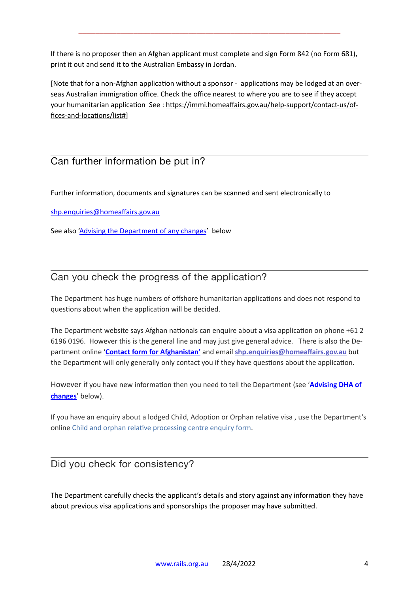If there is no proposer then an Afghan applicant must complete and sign Form 842 (no Form 681), print it out and send it to the Australian Embassy in Jordan.

\_\_\_\_\_\_\_\_\_\_\_\_\_\_\_\_\_\_\_\_\_\_\_\_\_\_\_\_\_\_\_\_\_\_\_\_\_\_\_\_\_\_\_\_\_\_\_\_\_\_\_\_\_\_\_\_\_\_\_\_\_\_

[Note that for a non-Afghan application without a sponsor - applications may be lodged at an overseas Australian immigration office. Check the office nearest to where you are to see if they accept your humanitarian application See : [https://immi.homeaffairs.gov.au/help-support/contact-us/of](https://immi.homeaffairs.gov.au/help-support/contact-us/offices-and-locations/list%23)[fices-and-locations/list#](https://immi.homeaffairs.gov.au/help-support/contact-us/offices-and-locations/list%23)]

#### <span id="page-3-0"></span>Can further information be put in?

Further information, documents and signatures can be scanned and sent electronically to

[shp.enquiries@homeaffairs.gov.au](mailto:shp.enquiries@homeaffairs.gov.au) 

See also ['Advising the Department of any changes](#page-6-1)' below

#### <span id="page-3-1"></span>Can you check the progress of the application?

The Department has huge numbers of offshore humanitarian applications and does not respond to questions about when the application will be decided.

The Department website says Afghan nationals can enquire about a visa application on phone +61 2 6196 0196. However this is the general line and may just give general advice. There is also the Department online '**[Contact form for Afghanistan'](https://www.homeaffairs.gov.au/help-and-support/afghanistan-update/contact-form-for-afghanistan)** and email **[shp.enquiries@homeaffairs.gov.au](mailto:shp.enquiries@homeaffairs.gov.au)** but the Department will only generally only contact you if they have questions about the application.

However if you have new information then you need to tell the Department (see '**[Advising DHA of](#page-6-1)  [changes](#page-6-1)**' below).

If you have an enquiry about a lodged Child, Adoption or Orphan relative visa , use the Department's online [Child and orphan relative processing centre enquiry form](https://immi.homeaffairs.gov.au/help-support/departmental-forms/online-forms/child-and-orphan-relative-visa-processing-centre-form).

#### <span id="page-3-2"></span>Did you check for consistency?

The Department carefully checks the applicant's details and story against any information they have about previous visa applications and sponsorships the proposer may have submitted.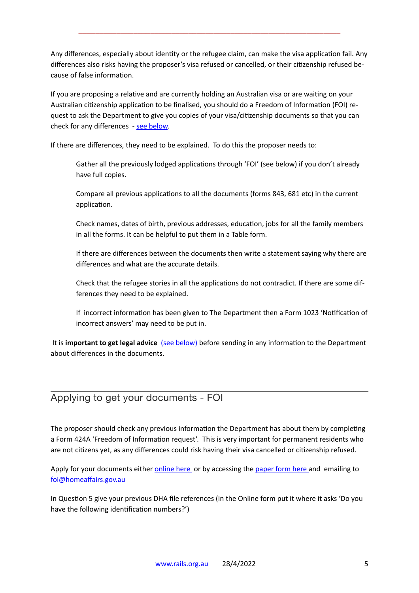Any differences, especially about identity or the refugee claim, can make the visa application fail. Any differences also risks having the proposer's visa refused or cancelled, or their citizenship refused because of false information.

\_\_\_\_\_\_\_\_\_\_\_\_\_\_\_\_\_\_\_\_\_\_\_\_\_\_\_\_\_\_\_\_\_\_\_\_\_\_\_\_\_\_\_\_\_\_\_\_\_\_\_\_\_\_\_\_\_\_\_\_\_\_

If you are proposing a relative and are currently holding an Australian visa or are waiting on your Australian citizenship application to be finalised, you should do a Freedom of Information (FOI) request to ask the Department to give you copies of your visa/citizenship documents so that you can check for any differences - [see below](#page-4-0).

If there are differences, they need to be explained. To do this the proposer needs to:

Gather all the previously lodged applications through 'FOI' (see below) if you don't already have full copies.

Compare all previous applications to all the documents (forms 843, 681 etc) in the current application.

Check names, dates of birth, previous addresses, education, jobs for all the family members in all the forms. It can be helpful to put them in a Table form.

If there are differences between the documents then write a statement saying why there are differences and what are the accurate details.

Check that the refugee stories in all the applications do not contradict. If there are some differences they need to be explained.

If incorrect information has been given to The Department then a Form 1023 'Notification of incorrect answers' may need to be put in.

 It is **important to get legal advice** (see below) before sending in any information to the Department about differences in the documents.

#### <span id="page-4-0"></span>Applying to get your documents - FOI

The proposer should check any previous information the Department has about them by completing a Form 424A 'Freedom of Information request'. This is very important for permanent residents who are not citizens yet, as any differences could risk having their visa cancelled or citizenship refused.

Apply for your documents either [online here](https://www.homeaffairs.gov.au/access-and-accountability/freedom-of-information/access-to-information/how-to-make-a-request) or by accessing the [paper form here](https://immi.homeaffairs.gov.au/form-listing/forms/424a.pdf) and emailing to [foi@homeaffairs.gov.au](mailto:foi@homeaffairs.gov.au)

In Question 5 give your previous DHA file references (in the Online form put it where it asks 'Do you have the following identification numbers?')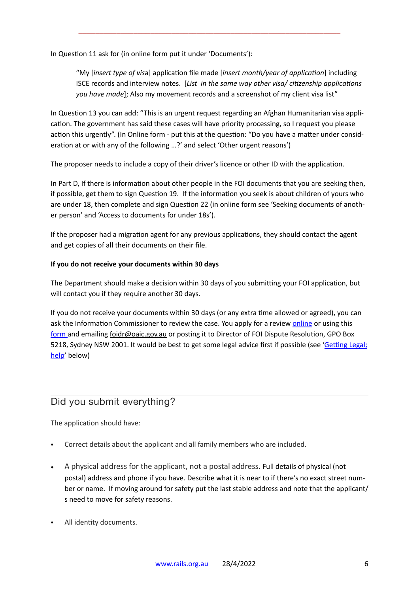In Question 11 ask for (in online form put it under 'Documents'):

"My [*insert type of vis*a] application file made [*insert month/year of application*] including ISCE records and interview notes. [*List in the same way other visa/ citizenship applications you have made*]; Also my movement records and a screenshot of my client visa list"

\_\_\_\_\_\_\_\_\_\_\_\_\_\_\_\_\_\_\_\_\_\_\_\_\_\_\_\_\_\_\_\_\_\_\_\_\_\_\_\_\_\_\_\_\_\_\_\_\_\_\_\_\_\_\_\_\_\_\_\_\_\_

In Question 13 you can add: "This is an urgent request regarding an Afghan Humanitarian visa application. The government has said these cases will have priority processing, so I request you please action this urgently". (In Online form - put this at the question: "Do you have a matter under consideration at or with any of the following …?' and select 'Other urgent reasons')

The proposer needs to include a copy of their driver's licence or other ID with the application.

In Part D, If there is information about other people in the FOI documents that you are seeking then, if possible, get them to sign Question 19. If the information you seek is about children of yours who are under 18, then complete and sign Question 22 (in online form see 'Seeking documents of another person' and 'Access to documents for under 18s').

If the proposer had a migration agent for any previous applications, they should contact the agent and get copies of all their documents on their file.

#### **If you do not receive your documents within 30 days**

The Department should make a decision within 30 days of you submitting your FOI application, but will contact you if they require another 30 days.

If you do not receive your documents within 30 days (or any extra time allowed or agreed), you can ask the Information Commissioner to review the case. You apply for a review [online](https://forms.business.gov.au/smartforms/servlet/SmartForm.html?formCode=ICR_10) or using this [form](https://forms.business.gov.au/smartforms/servlet/SmartForm.html?formCode=ICR_10) and emailing [foidr@oaic.gov.au](mailto:foidr@oaic.gov.au) or posting it to Director of FOI Dispute Resolution, GPO Box 5218, Sydney NSW 2001. It would be best to get some legal advice first if possible (see '[Getting Legal;](#page-12-0)  [help'](#page-12-0) below)

#### <span id="page-5-0"></span>Did you submit everything?

The application should have:

- Correct details about the applicant and all family members who are included.
- A physical address for the applicant, not a postal address. Full details of physical (not postal) address and phone if you have. Describe what it is near to if there's no exact street number or name. If moving around for safety put the last stable address and note that the applicant/ s need to move for safety reasons.
- All identity documents.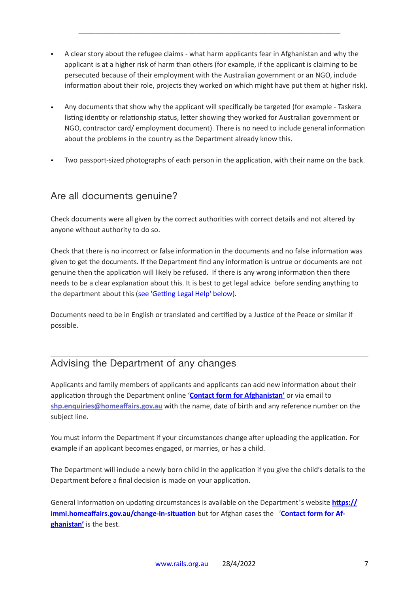• A clear story about the refugee claims - what harm applicants fear in Afghanistan and why the applicant is at a higher risk of harm than others (for example, if the applicant is claiming to be persecuted because of their employment with the Australian government or an NGO, include information about their role, projects they worked on which might have put them at higher risk).

\_\_\_\_\_\_\_\_\_\_\_\_\_\_\_\_\_\_\_\_\_\_\_\_\_\_\_\_\_\_\_\_\_\_\_\_\_\_\_\_\_\_\_\_\_\_\_\_\_\_\_\_\_\_\_\_\_\_\_\_\_\_

- Any documents that show why the applicant will specifically be targeted (for example Taskera listing identity or relationship status, letter showing they worked for Australian government or NGO, contractor card/ employment document). There is no need to include general information about the problems in the country as the Department already know this.
- Two passport-sized photographs of each person in the application, with their name on the back.

#### <span id="page-6-0"></span>Are all documents genuine?

Check documents were all given by the correct authorities with correct details and not altered by anyone without authority to do so.

Check that there is no incorrect or false information in the documents and no false information was given to get the documents. If the Department find any information is untrue or documents are not genuine then the application will likely be refused. If there is any wrong information then there needs to be a clear explanation about this. It is best to get legal advice before sending anything to the department about this [\(see 'Getting Legal Help' below\)](#page-12-0).

Documents need to be in English or translated and certified by a Justice of the Peace or similar if possible.

#### <span id="page-6-1"></span>Advising the Department of any changes

Applicants and family members of applicants and applicants can add new information about their application through the Department online '**[Contact form for Afghanistan'](https://www.homeaffairs.gov.au/help-and-support/afghanistan-update/contact-form-for-afghanistan)** or via email to **[shp.enquiries@homeaffairs.gov.au](mailto:shp.enquiries@homeaffairs.gov.au)** with the name, date of birth and any reference number on the subject line.

You must inform the Department if your circumstances change after uploading the application. For example if an applicant becomes engaged, or marries, or has a child.

The Department will include a newly born child in the application if you give the child's details to the Department before a final decision is made on your application.

General Information on updating circumstances is available on the Department's website **[https://](https://immi.homeaffairs.gov.au/change-in-situation) [immi.homeaffairs.gov.au/change-in-situation](https://immi.homeaffairs.gov.au/change-in-situation)** but for Afghan cases the '[Contact form for Af](https://www.homeaffairs.gov.au/help-and-support/afghanistan-update/contact-form-for-afghanistan)**[ghanistan'](https://www.homeaffairs.gov.au/help-and-support/afghanistan-update/contact-form-for-afghanistan)** is the best.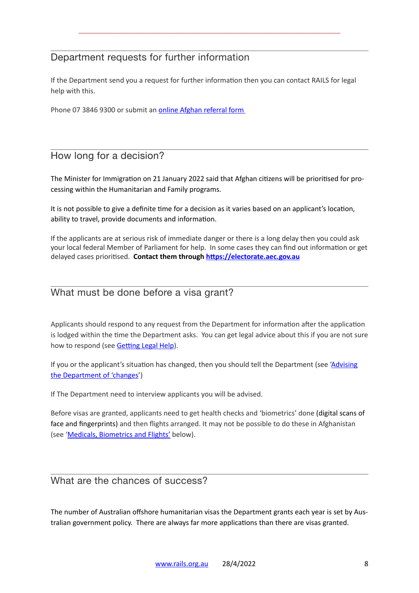#### <span id="page-7-0"></span>Department requests for further information

If the Department send you a request for further information then you can contact RAILS for legal help with this.

\_\_\_\_\_\_\_\_\_\_\_\_\_\_\_\_\_\_\_\_\_\_\_\_\_\_\_\_\_\_\_\_\_\_\_\_\_\_\_\_\_\_\_\_\_\_\_\_\_\_\_\_\_\_\_\_\_\_\_\_\_\_

Phone 07 3846 9300 or submit an **online Afghan referral form** 

#### <span id="page-7-1"></span>How long for a decision?

The Minister for Immigration on 21 January 2022 said that Afghan citizens will be prioritised for processing within the Humanitarian and Family programs.

It is not possible to give a definite time for a decision as it varies based on an applicant's location, ability to travel, provide documents and information.

If the applicants are at serious risk of immediate danger or there is a long delay then you could ask your local federal Member of Parliament for help. In some cases they can find out information or get delayed cases prioritised. **Contact them through <https://electorate.aec.gov.au>**

#### <span id="page-7-2"></span>What must be done before a visa grant?

Applicants should respond to any request from the Department for information after the application is lodged within the time the Department asks. You can get legal advice about this if you are not sure how to respond (see [Getting Legal Help](#page-12-0)).

If you or the applicant's situation has changed, then you should tell the Department (see 'Advising [the Department of 'changes'](#page-6-1))

If The Department need to interview applicants you will be advised.

Before visas are granted, applicants need to get health checks and 'biometrics' done (digital scans of face and fingerprints) and then flights arranged. It may not be possible to do these in Afghanistan (see '[Medicals, Biometrics and Flights'](#page-9-0) below).

#### <span id="page-7-3"></span>What are the chances of success?

The number of Australian offshore humanitarian visas the Department grants each year is set by Australian government policy. There are always far more applications than there are visas granted.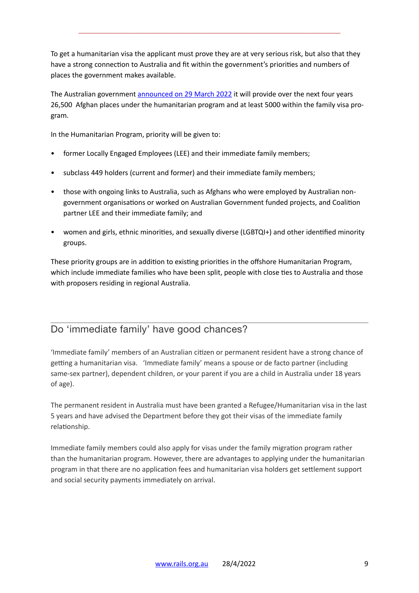To get a humanitarian visa the applicant must prove they are at very serious risk, but also that they have a strong connection to Australia and fit within the government's priorities and numbers of places the government makes available.

\_\_\_\_\_\_\_\_\_\_\_\_\_\_\_\_\_\_\_\_\_\_\_\_\_\_\_\_\_\_\_\_\_\_\_\_\_\_\_\_\_\_\_\_\_\_\_\_\_\_\_\_\_\_\_\_\_\_\_\_\_\_

The Australian government [announced on 29 March 2022](https://minister.homeaffairs.gov.au/AlexHawke/Pages/2022-23-budget-release.aspx) it will provide over the next four years 26,500 Afghan places under the humanitarian program and at least 5000 within the family visa program.

In the Humanitarian Program, priority will be given to:

- former Locally Engaged Employees (LEE) and their immediate family members;
- subclass 449 holders (current and former) and their immediate family members;
- those with ongoing links to Australia, such as Afghans who were employed by Australian nongovernment organisations or worked on Australian Government funded projects, and Coalition partner LEE and their immediate family; and
- women and girls, ethnic minorities, and sexually diverse (LGBTQI+) and other identified minority groups.

These priority groups are in addition to existing priorities in the offshore Humanitarian Program, which include immediate families who have been split, people with close ties to Australia and those with proposers residing in regional Australia.

#### <span id="page-8-0"></span>Do 'immediate family' have good chances?

'Immediate family' members of an Australian citizen or permanent resident have a strong chance of getting a humanitarian visa. 'Immediate family' means a spouse or de facto partner (including same-sex partner), dependent children, or your parent if you are a child in Australia under 18 years of age).

The permanent resident in Australia must have been granted a Refugee/Humanitarian visa in the last 5 years and have advised the Department before they got their visas of the immediate family relationship.

Immediate family members could also apply for visas under the family migration program rather than the humanitarian program. However, there are advantages to applying under the humanitarian program in that there are no application fees and humanitarian visa holders get settlement support and social security payments immediately on arrival.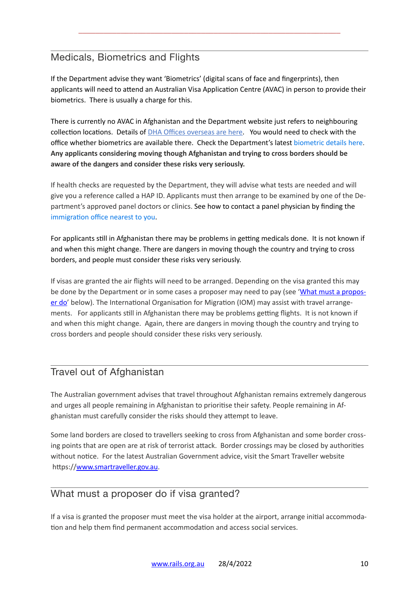#### <span id="page-9-0"></span>Medicals, Biometrics and Flights

If the Department advise they want 'Biometrics' (digital scans of face and fingerprints), then applicants will need to attend an Australian Visa Application Centre (AVAC) in person to provide their biometrics. There is usually a charge for this.

\_\_\_\_\_\_\_\_\_\_\_\_\_\_\_\_\_\_\_\_\_\_\_\_\_\_\_\_\_\_\_\_\_\_\_\_\_\_\_\_\_\_\_\_\_\_\_\_\_\_\_\_\_\_\_\_\_\_\_\_\_\_

There is currently no AVAC in Afghanistan and the Department website just refers to neighbouring collection locations. Details of [DHA Offices overseas are here](https://immi.homeaffairs.gov.au/help-support/contact-us/offices-and-locations/offices-outside-australia). You would need to check with the office whether biometrics are available there. Check the Department's latest [biometric details here](https://immi.homeaffairs.gov.au/help-support/meeting-our-requirements/biometrics). **Any applicants considering moving though Afghanistan and trying to cross borders should be aware of the dangers and consider these risks very seriously.**

If health checks are requested by the Department, they will advise what tests are needed and will give you a reference called a HAP ID. Applicants must then arrange to be examined by one of the Department's approved panel doctors or clinics. See how to contact a panel physician by finding the [immigration office nearest to you](https://immi.homeaffairs.gov.au/help-support/contact-us/offices-and-locations/list).

For applicants still in Afghanistan there may be problems in getting medicals done. It is not known if and when this might change. There are dangers in moving though the country and trying to cross borders, and people must consider these risks very seriously.

If visas are granted the air flights will need to be arranged. Depending on the visa granted this may be done by the Department or in some cases a proposer may need to pay (see '[What must a propos](#page-9-2)[er do](#page-9-2)' below). The International Organisation for Migration (IOM) may assist with travel arrangements. For applicants still in Afghanistan there may be problems getting flights. It is not known if and when this might change. Again, there are dangers in moving though the country and trying to cross borders and people should consider these risks very seriously.

#### <span id="page-9-1"></span>Travel out of Afghanistan

The Australian government advises that travel throughout Afghanistan remains extremely dangerous and urges all people remaining in Afghanistan to prioritise their safety. People remaining in Afghanistan must carefully consider the risks should they attempt to leave.

Some land borders are closed to travellers seeking to cross from Afghanistan and some border crossing points that are open are at risk of terrorist attack. Border crossings may be closed by authorities without notice. For the latest Australian Government advice, visit the Smart Traveller website https://[www.smartraveller.gov.au](http://www.smartraveller.gov.au).

#### <span id="page-9-2"></span>What must a proposer do if visa granted?

If a visa is granted the proposer must meet the visa holder at the airport, arrange initial accommodation and help them find permanent accommodation and access social services.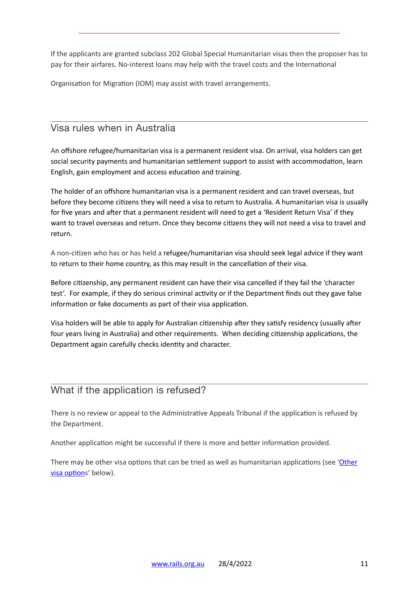If the applicants are granted subclass 202 Global Special Humanitarian visas then the proposer has to pay for their airfares. No-interest loans may help with the travel costs and the International

\_\_\_\_\_\_\_\_\_\_\_\_\_\_\_\_\_\_\_\_\_\_\_\_\_\_\_\_\_\_\_\_\_\_\_\_\_\_\_\_\_\_\_\_\_\_\_\_\_\_\_\_\_\_\_\_\_\_\_\_\_\_

Organisation for Migration (IOM) may assist with travel arrangements.

#### <span id="page-10-0"></span>Visa rules when in Australia

An offshore refugee/humanitarian visa is a permanent resident visa. On arrival, visa holders can get social security payments and humanitarian settlement support to assist with accommodation, learn English, gain employment and access education and training.

The holder of an offshore humanitarian visa is a permanent resident and can travel overseas, but before they become citizens they will need a visa to return to Australia. A humanitarian visa is usually for five years and after that a permanent resident will need to get a 'Resident Return Visa' if they want to travel overseas and return. Once they become citizens they will not need a visa to travel and return.

A non-citizen who has or has held a refugee/humanitarian visa should seek legal advice if they want to return to their home country, as this may result in the cancellation of their visa.

Before citizenship, any permanent resident can have their visa cancelled if they fail the 'character test'. For example, if they do serious criminal activity or if the Department finds out they gave false information or fake documents as part of their visa application.

Visa holders will be able to apply for Australian citizenship after they satisfy residency (usually after four years living in Australia) and other requirements. When deciding citizenship applications, the Department again carefully checks identity and character.

#### <span id="page-10-1"></span>What if the application is refused?

There is no review or appeal to the Administrative Appeals Tribunal if the application is refused by the Department.

Another application might be successful if there is more and better information provided.

There may be other visa options that can be tried as well as humanitarian applications (see 'Other [visa options](#page-11-1)' below).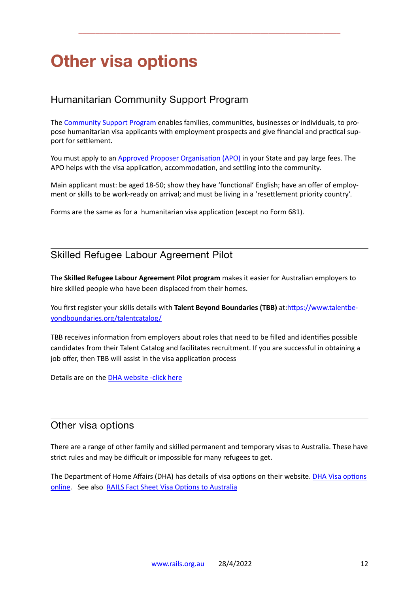## **Other visa options**

#### <span id="page-11-1"></span>Humanitarian Community Support Program

The [Community Support Program](https://immi.homeaffairs.gov.au/what-we-do/refugee-and-humanitarian-program/community-support-program) enables families, communities, businesses or individuals, to propose humanitarian visa applicants with employment prospects and give financial and practical support for settlement.

\_\_\_\_\_\_\_\_\_\_\_\_\_\_\_\_\_\_\_\_\_\_\_\_\_\_\_\_\_\_\_\_\_\_\_\_\_\_\_\_\_\_\_\_\_\_\_\_\_\_\_\_\_\_\_\_\_\_\_\_\_\_

You must apply to an [Approved Proposer Organisation \(APO\)](https://immi.homeaffairs.gov.au/what-we-do/refugee-and-humanitarian-program/community-support-program/approved-proposing-organisations) in your State and pay large fees. The APO helps with the visa application, accommodation, and settling into the community.

Main applicant must: be aged 18-50; show they have 'functional' English; have an offer of employment or skills to be work-ready on arrival; and must be living in a 'resettlement priority country'.

Forms are the same as for a humanitarian visa application (except no Form 681).

#### <span id="page-11-2"></span>Skilled Refugee Labour Agreement Pilot

The **Skilled Refugee Labour Agreement Pilot program** makes it easier for Australian employers to hire skilled people who have been displaced from their homes.

You first register your skills details with **Talent Beyond Boundaries (TBB)** at:[https://www.talentbe](https://www.talentbeyondboundaries.org/talentcatalog/)[yondboundaries.org/talentcatalog/](https://www.talentbeyondboundaries.org/talentcatalog/)

TBB receives information from employers about roles that need to be filled and identifies possible candidates from their Talent Catalog and facilitates recruitment. If you are successful in obtaining a job offer, then TBB will assist in the visa application process

Details are on the **DHA** website -click here

#### <span id="page-11-0"></span>Other visa options

There are a range of other family and skilled permanent and temporary visas to Australia. These have strict rules and may be difficult or impossible for many refugees to get.

The Department of Home Affairs (DHA) has details of visa options on their website. [DHA Visa options](https://immi.homeaffairs.gov.au/visas/getting-a-visa/visa-finder)  [online.](https://immi.homeaffairs.gov.au/visas/getting-a-visa/visa-finder) See also [RAILS Fact Sheet Visa Options to Australia](https://www.rails.org.au/sites/default/files/2022-03/2022.03.13-Visas%2520to%2520Australia-Overview.pdf)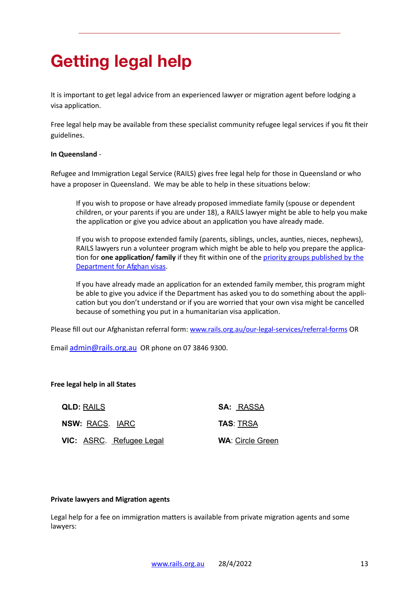## <span id="page-12-0"></span>**Getting legal help**

It is important to get legal advice from an experienced lawyer or migration agent before lodging a visa application.

\_\_\_\_\_\_\_\_\_\_\_\_\_\_\_\_\_\_\_\_\_\_\_\_\_\_\_\_\_\_\_\_\_\_\_\_\_\_\_\_\_\_\_\_\_\_\_\_\_\_\_\_\_\_\_\_\_\_\_\_\_\_

Free legal help may be available from these specialist community refugee legal services if you fit their guidelines.

#### **In Queensland** -

Refugee and Immigration Legal Service (RAILS) gives free legal help for those in Queensland or who have a proposer in Queensland. We may be able to help in these situations below:

If you wish to propose or have already proposed immediate family (spouse or dependent children, or your parents if you are under 18), a RAILS lawyer might be able to help you make the application or give you advice about an application you have already made.

If you wish to propose extended family (parents, siblings, uncles, aunties, nieces, nephews), RAILS lawyers run a volunteer program which might be able to help you prepare the application for **one application/ family** if they fit within one of the [priority groups published by the](https://www.homeaffairs.gov.au/help-and-support/afghanistan-update)  [Department for Afghan visas](https://www.homeaffairs.gov.au/help-and-support/afghanistan-update).

If you have already made an application for an extended family member, this program might be able to give you advice if the Department has asked you to do something about the application but you don't understand or if you are worried that your own visa might be cancelled because of something you put in a humanitarian visa application.

Please fill out our Afghanistan referral form: [www.rails.org.au/our-legal-services/referral-forms](http://www.rails.org.au/our-legal-services/referral-forms) OR

Email [admin@rails.org.au](mailto:admin@rails.org.au) OR phone on 07 3846 9300.

#### **Free legal help in all States**

| <b>QLD: RAILS</b>        | <b>SA: RASSA</b>        |  |
|--------------------------|-------------------------|--|
| NSW: RACS. IARC          | <b>TAS: TRSA</b>        |  |
| VIC: ASRC. Refugee Legal | <b>WA: Circle Green</b> |  |

#### **Private lawyers and Migration agents**

Legal help for a fee on immigration matters is available from private migration agents and some lawyers: